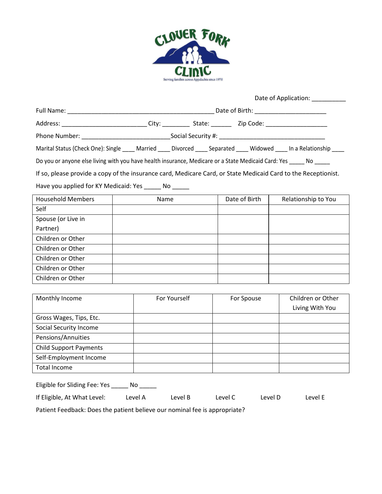

|                                                                                                                | Date of Application: 2000                                                                                             |  |  |  |  |  |
|----------------------------------------------------------------------------------------------------------------|-----------------------------------------------------------------------------------------------------------------------|--|--|--|--|--|
|                                                                                                                |                                                                                                                       |  |  |  |  |  |
|                                                                                                                | Address: ______________________________City: _____________State: _______________ Zip Code: ___________________        |  |  |  |  |  |
|                                                                                                                |                                                                                                                       |  |  |  |  |  |
|                                                                                                                | Marital Status (Check One): Single ____ Married ____ Divorced ____ Separated ____ Widowed ____ In a Relationship ____ |  |  |  |  |  |
| Do you or anyone else living with you have health insurance, Medicare or a State Medicaid Card: Yes _____ No   |                                                                                                                       |  |  |  |  |  |
| If so, please provide a copy of the insurance card, Medicare Card, or State Medicaid Card to the Receptionist. |                                                                                                                       |  |  |  |  |  |
| Have you applied for KY Medicaid: Yes _______ No                                                               |                                                                                                                       |  |  |  |  |  |

| <b>Household Members</b> | Name | Date of Birth | Relationship to You |
|--------------------------|------|---------------|---------------------|
| Self                     |      |               |                     |
| Spouse (or Live in       |      |               |                     |
| Partner)                 |      |               |                     |
| Children or Other        |      |               |                     |
| Children or Other        |      |               |                     |
| Children or Other        |      |               |                     |
| Children or Other        |      |               |                     |
| Children or Other        |      |               |                     |

| Monthly Income                | For Yourself | For Spouse | Children or Other |  |
|-------------------------------|--------------|------------|-------------------|--|
|                               |              |            | Living With You   |  |
| Gross Wages, Tips, Etc.       |              |            |                   |  |
| Social Security Income        |              |            |                   |  |
| Pensions/Annuities            |              |            |                   |  |
| <b>Child Support Payments</b> |              |            |                   |  |
| Self-Employment Income        |              |            |                   |  |
| Total Income                  |              |            |                   |  |

| Eligible for Sliding Fee: Yes<br>No. |         |         |         |         |         |  |  |  |  |
|--------------------------------------|---------|---------|---------|---------|---------|--|--|--|--|
| If Eligible, At What Level:          | Level A | Level B | Level C | Level D | Level E |  |  |  |  |

Patient Feedback: Does the patient believe our nominal fee is appropriate?